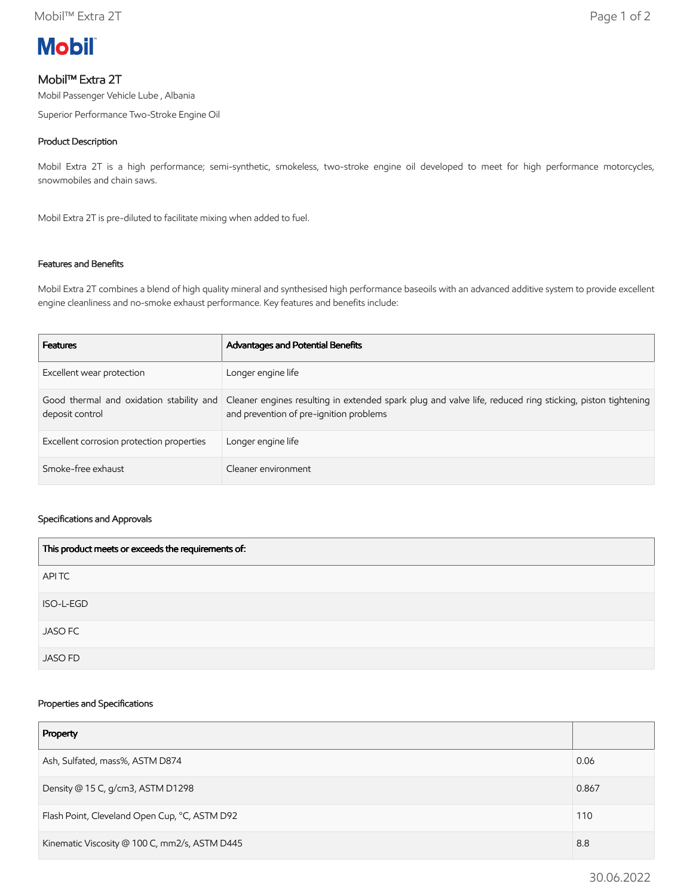

# Mobil™ Extra 2T

Mobil Passenger Vehicle Lube , Albania

Superior Performance Two-Stroke Engine Oil

## Product Description

Mobil Extra 2T is a high performance; semi-synthetic, smokeless, two-stroke engine oil developed to meet for high performance motorcycles, snowmobiles and chain saws.

Mobil Extra 2T is pre-diluted to facilitate mixing when added to fuel.

## Features and Benefits

Mobil Extra 2T combines a blend of high quality mineral and synthesised high performance baseoils with an advanced additive system to provide excellent engine cleanliness and no-smoke exhaust performance. Key features and benefits include:

| <b>Features</b>                           | Advantages and Potential Benefits                                                                                                                                                             |
|-------------------------------------------|-----------------------------------------------------------------------------------------------------------------------------------------------------------------------------------------------|
| Excellent wear protection                 | Longer engine life                                                                                                                                                                            |
| deposit control                           | Good thermal and oxidation stability and Cleaner engines resulting in extended spark plug and valve life, reduced ring sticking, piston tightening<br>and prevention of pre-ignition problems |
| Excellent corrosion protection properties | Longer engine life                                                                                                                                                                            |
| Smoke-free exhaust                        | Cleaner environment                                                                                                                                                                           |

#### Specifications and Approvals

| This product meets or exceeds the requirements of: |  |
|----------------------------------------------------|--|
| APITC                                              |  |
| ISO-L-EGD                                          |  |
| <b>JASO FC</b>                                     |  |
| <b>JASO FD</b>                                     |  |

### Properties and Specifications

| Property                                      |       |
|-----------------------------------------------|-------|
| Ash, Sulfated, mass%, ASTM D874               | 0.06  |
| Density @ 15 C, g/cm3, ASTM D1298             | 0.867 |
| Flash Point, Cleveland Open Cup, °C, ASTM D92 | 110   |
| Kinematic Viscosity @ 100 C, mm2/s, ASTM D445 |       |